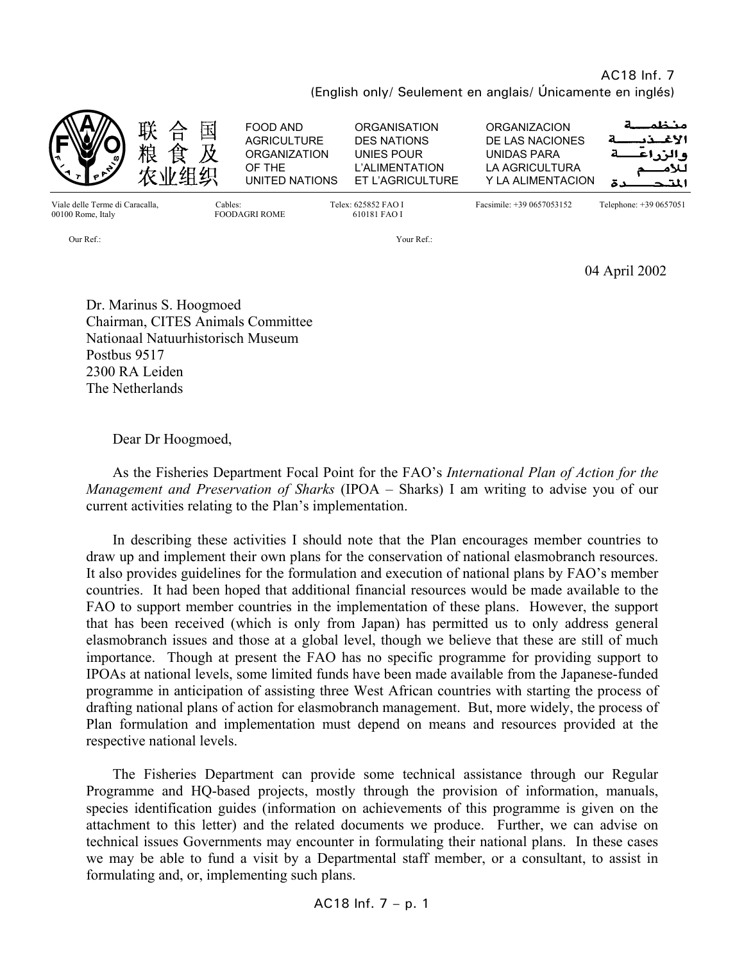# AC18 Inf. 7 (English only/ Seulement en anglais/ Únicamente en inglés)



04 April 2002

Dr. Marinus S. Hoogmoed Chairman, CITES Animals Committee Nationaal Natuurhistorisch Museum Postbus 9517 2300 RA Leiden The Netherlands

Dear Dr Hoogmoed,

 As the Fisheries Department Focal Point for the FAO's *International Plan of Action for the Management and Preservation of Sharks* (IPOA – Sharks) I am writing to advise you of our current activities relating to the Plan's implementation.

 In describing these activities I should note that the Plan encourages member countries to draw up and implement their own plans for the conservation of national elasmobranch resources. It also provides guidelines for the formulation and execution of national plans by FAO's member countries. It had been hoped that additional financial resources would be made available to the FAO to support member countries in the implementation of these plans. However, the support that has been received (which is only from Japan) has permitted us to only address general elasmobranch issues and those at a global level, though we believe that these are still of much importance. Though at present the FAO has no specific programme for providing support to IPOAs at national levels, some limited funds have been made available from the Japanese-funded programme in anticipation of assisting three West African countries with starting the process of drafting national plans of action for elasmobranch management. But, more widely, the process of Plan formulation and implementation must depend on means and resources provided at the respective national levels.

 The Fisheries Department can provide some technical assistance through our Regular Programme and HQ-based projects, mostly through the provision of information, manuals, species identification guides (information on achievements of this programme is given on the attachment to this letter) and the related documents we produce. Further, we can advise on technical issues Governments may encounter in formulating their national plans. In these cases we may be able to fund a visit by a Departmental staff member, or a consultant, to assist in formulating and, or, implementing such plans.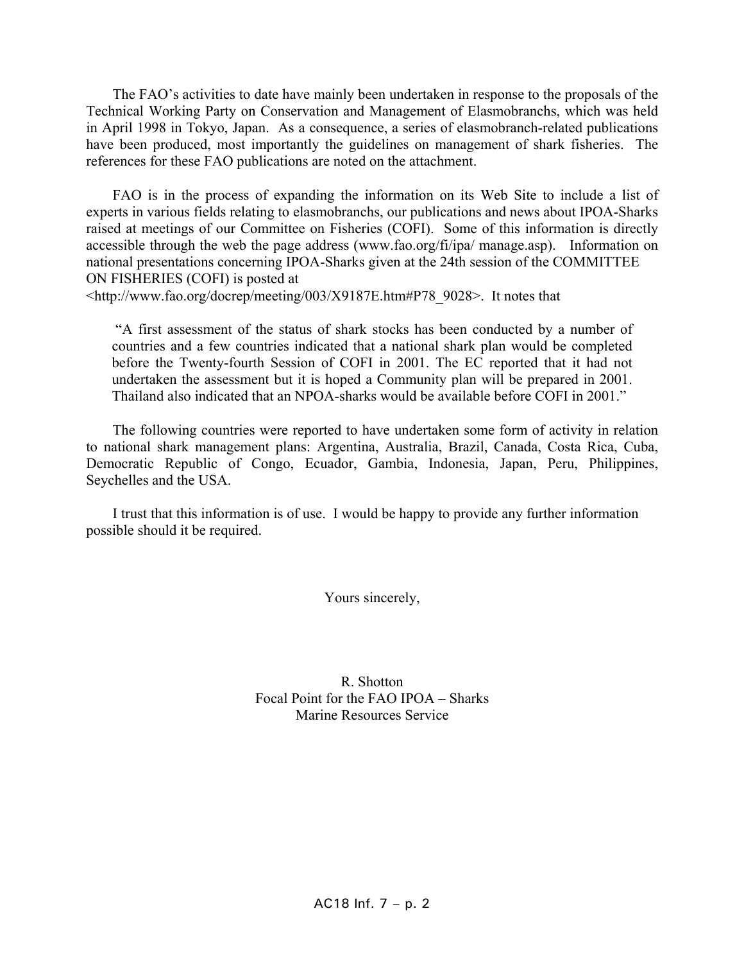The FAO's activities to date have mainly been undertaken in response to the proposals of the Technical Working Party on Conservation and Management of Elasmobranchs, which was held in April 1998 in Tokyo, Japan. As a consequence, a series of elasmobranch-related publications have been produced, most importantly the guidelines on management of shark fisheries. The references for these FAO publications are noted on the attachment.

 FAO is in the process of expanding the information on its Web Site to include a list of experts in various fields relating to elasmobranchs, our publications and news about IPOA-Sharks raised at meetings of our Committee on Fisheries (COFI). Some of this information is directly accessible through the web the page address (www.fao.org/fi/ipa/ manage.asp). Information on national presentations concerning IPOA-Sharks given at the 24th session of the COMMITTEE ON FISHERIES (COFI) is posted at

<http://www.fao.org/docrep/meeting/003/X9187E.htm#P78\_9028>. It notes that

 "A first assessment of the status of shark stocks has been conducted by a number of countries and a few countries indicated that a national shark plan would be completed before the Twenty-fourth Session of COFI in 2001. The EC reported that it had not undertaken the assessment but it is hoped a Community plan will be prepared in 2001. Thailand also indicated that an NPOA-sharks would be available before COFI in 2001."

 The following countries were reported to have undertaken some form of activity in relation to national shark management plans: Argentina, Australia, Brazil, Canada, Costa Rica, Cuba, Democratic Republic of Congo, Ecuador, Gambia, Indonesia, Japan, Peru, Philippines, Seychelles and the USA.

 I trust that this information is of use. I would be happy to provide any further information possible should it be required.

Yours sincerely,

R. Shotton Focal Point for the FAO IPOA – Sharks Marine Resources Service